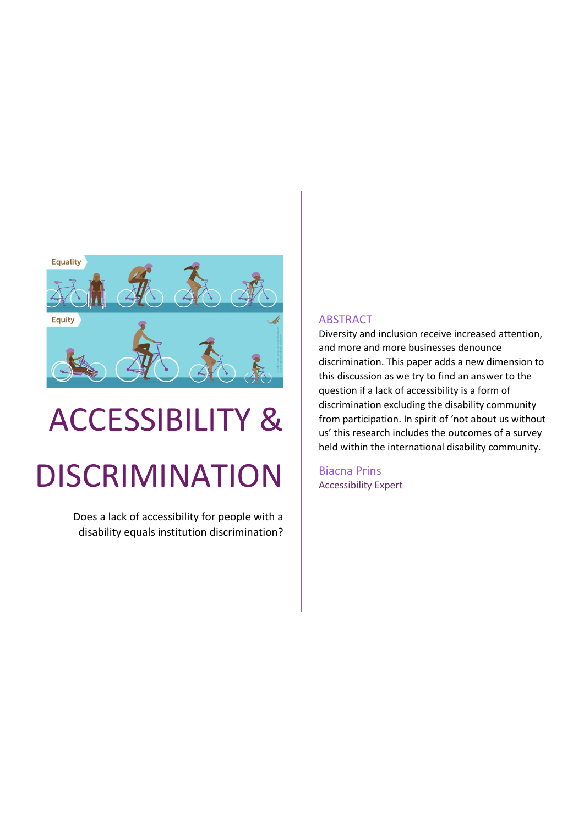

# ACCESSIBILITY & DISCRIMINATION

Does a lack of accessibility for people with a disability equals institution discrimination?

#### ABSTRACT

Diversity and inclusion receive increased attention, and more and more businesses denounce discrimination. This paper adds a new dimension to this discussion as we try to find an answer to the question if a lack of accessibility is a form of discrimination excluding the disability community from participation. In spirit of 'not about us without us' this research includes the outcomes of a survey held within the international disability community.

Biacna Prins Accessibility Expert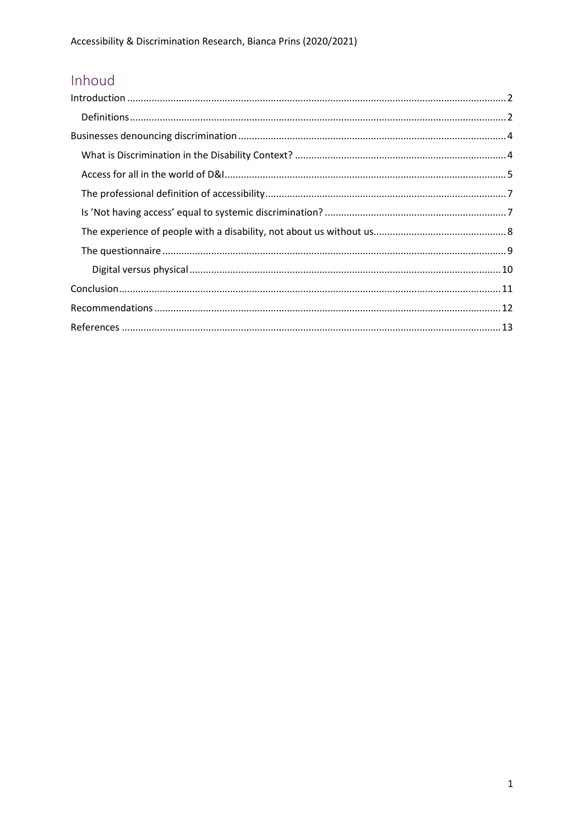# Inhoud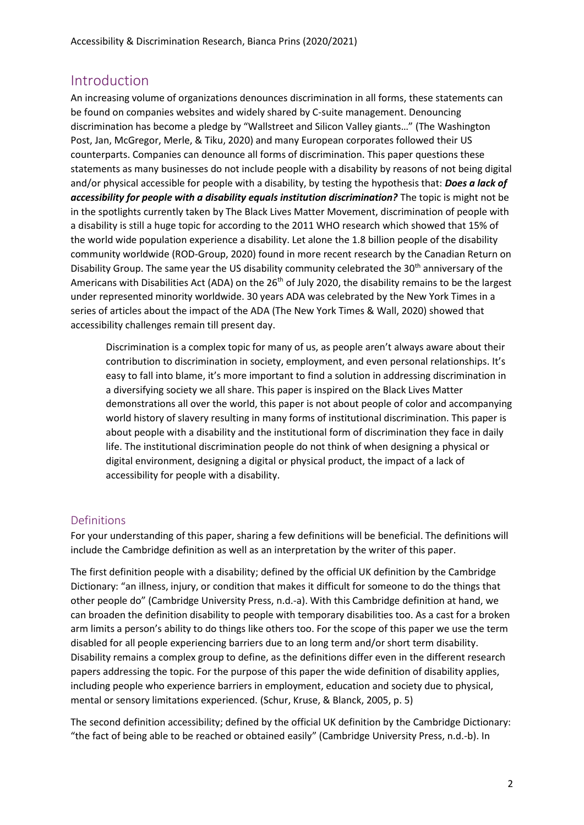## <span id="page-2-0"></span>Introduction

An increasing volume of organizations denounces discrimination in all forms, these statements can be found on companies websites and widely shared by C-suite management. Denouncing discrimination has become a pledge by "Wallstreet and Silicon Valley giants…" (The Washington Post, Jan, McGregor, Merle, & Tiku, 2020) and many European corporates followed their US counterparts. Companies can denounce all forms of discrimination. This paper questions these statements as many businesses do not include people with a disability by reasons of not being digital and/or physical accessible for people with a disability, by testing the hypothesis that: *Does a lack of accessibility for people with a disability equals institution discrimination?* The topic is might not be in the spotlights currently taken by The Black Lives Matter Movement, discrimination of people with a disability is still a huge topic for according to the 2011 WHO research which showed that 15% of the world wide population experience a disability. Let alone the 1.8 billion people of the disability community worldwide (ROD-Group, 2020) found in more recent research by the Canadian Return on Disability Group. The same year the US disability community celebrated the 30<sup>th</sup> anniversary of the Americans with Disabilities Act (ADA) on the  $26<sup>th</sup>$  of July 2020, the disability remains to be the largest under represented minority worldwide. 30 years ADA was celebrated by the New York Times in a series of articles about the impact of the ADA (The New York Times & Wall, 2020) showed that accessibility challenges remain till present day.

Discrimination is a complex topic for many of us, as people aren't always aware about their contribution to discrimination in society, employment, and even personal relationships. It's easy to fall into blame, it's more important to find a solution in addressing discrimination in a diversifying society we all share. This paper is inspired on the Black Lives Matter demonstrations all over the world, this paper is not about people of color and accompanying world history of slavery resulting in many forms of institutional discrimination. This paper is about people with a disability and the institutional form of discrimination they face in daily life. The institutional discrimination people do not think of when designing a physical or digital environment, designing a digital or physical product, the impact of a lack of accessibility for people with a disability.

#### <span id="page-2-1"></span>Definitions

For your understanding of this paper, sharing a few definitions will be beneficial. The definitions will include the Cambridge definition as well as an interpretation by the writer of this paper.

The first definition people with a disability; defined by the official UK definition by the Cambridge Dictionary: "an illness, injury, or condition that makes it difficult for someone to do the things that other people do" (Cambridge University Press, n.d.-a). With this Cambridge definition at hand, we can broaden the definition disability to people with temporary disabilities too. As a cast for a broken arm limits a person's ability to do things like others too. For the scope of this paper we use the term disabled for all people experiencing barriers due to an long term and/or short term disability. Disability remains a complex group to define, as the definitions differ even in the different research papers addressing the topic. For the purpose of this paper the wide definition of disability applies, including people who experience barriers in employment, education and society due to physical, mental or sensory limitations experienced. (Schur, Kruse, & Blanck, 2005, p. 5)

The second definition accessibility; defined by the official UK definition by the Cambridge Dictionary: "the fact of being able to be reached or obtained easily" (Cambridge University Press, n.d.-b). In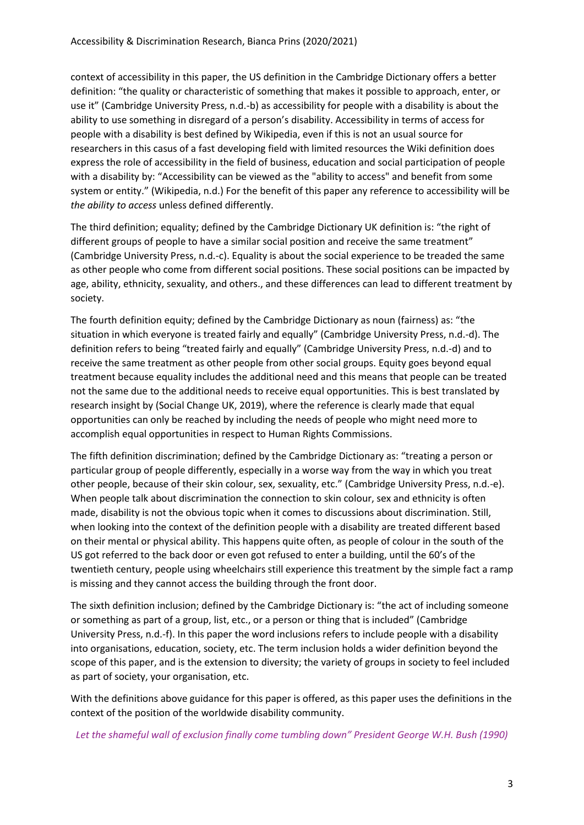context of accessibility in this paper, the US definition in the Cambridge Dictionary offers a better definition: "the quality or characteristic of something that makes it possible to approach, enter, or use it" (Cambridge University Press, n.d.-b) as accessibility for people with a disability is about the ability to use something in disregard of a person's disability. Accessibility in terms of access for people with a disability is best defined by Wikipedia, even if this is not an usual source for researchers in this casus of a fast developing field with limited resources the Wiki definition does express the role of accessibility in the field of business, education and social participation of people with a disability by: "Accessibility can be viewed as the "ability to access" and benefit from some system or entity." (Wikipedia, n.d.) For the benefit of this paper any reference to accessibility will be *the ability to access* unless defined differently.

The third definition; equality; defined by the Cambridge Dictionary UK definition is: "the right of different groups of people to have a similar social position and receive the same treatment" (Cambridge University Press, n.d.-c). Equality is about the social experience to be treaded the same as other people who come from different social positions. These social positions can be impacted by age, ability, ethnicity, sexuality, and others., and these differences can lead to different treatment by society.

The fourth definition equity; defined by the Cambridge Dictionary as noun (fairness) as: "the situation in which everyone is treated fairly and equally" (Cambridge University Press, n.d.-d). The definition refers to being "treated fairly and equally" (Cambridge University Press, n.d.-d) and to receive the same treatment as other people from other social groups. Equity goes beyond equal treatment because equality includes the additional need and this means that people can be treated not the same due to the additional needs to receive equal opportunities. This is best translated by research insight by (Social Change UK, 2019), where the reference is clearly made that equal opportunities can only be reached by including the needs of people who might need more to accomplish equal opportunities in respect to Human Rights Commissions.

The fifth definition discrimination; defined by the Cambridge Dictionary as: "treating a person or particular group of people differently, especially in a worse way from the way in which you treat other people, because of their skin colour, sex, sexuality, etc." (Cambridge University Press, n.d.-e). When people talk about discrimination the connection to skin colour, sex and ethnicity is often made, disability is not the obvious topic when it comes to discussions about discrimination. Still, when looking into the context of the definition people with a disability are treated different based on their mental or physical ability. This happens quite often, as people of colour in the south of the US got referred to the back door or even got refused to enter a building, until the 60's of the twentieth century, people using wheelchairs still experience this treatment by the simple fact a ramp is missing and they cannot access the building through the front door.

The sixth definition inclusion; defined by the Cambridge Dictionary is: "the act of including someone or something as part of a group, list, etc., or a person or thing that is included" (Cambridge University Press, n.d.-f). In this paper the word inclusions refers to include people with a disability into organisations, education, society, etc. The term inclusion holds a wider definition beyond the scope of this paper, and is the extension to diversity; the variety of groups in society to feel included as part of society, your organisation, etc.

With the definitions above guidance for this paper is offered, as this paper uses the definitions in the context of the position of the worldwide disability community.

*Let the shameful wall of exclusion finally come tumbling down" President George W.H. Bush (1990)*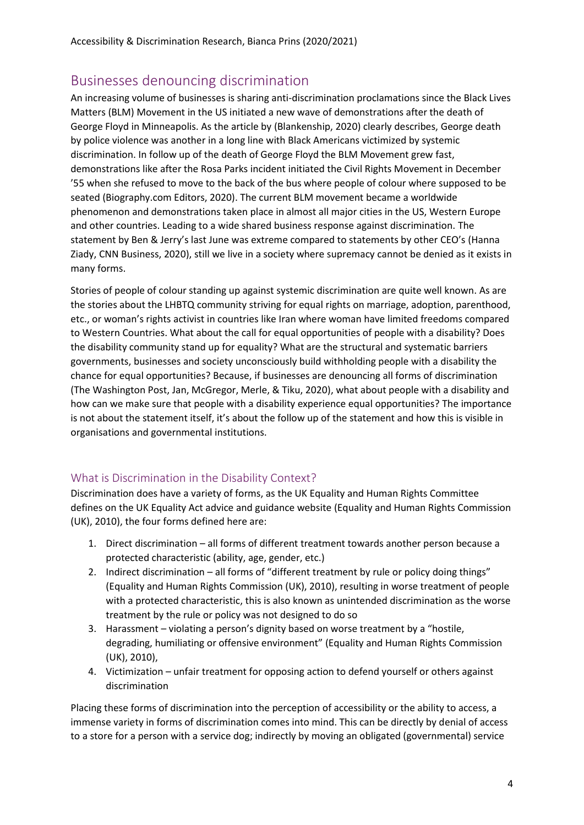# <span id="page-4-0"></span>Businesses denouncing discrimination

An increasing volume of businesses is sharing anti-discrimination proclamations since the Black Lives Matters (BLM) Movement in the US initiated a new wave of demonstrations after the death of George Floyd in Minneapolis. As the article by (Blankenship, 2020) clearly describes, George death by police violence was another in a long line with Black Americans victimized by systemic discrimination. In follow up of the death of George Floyd the BLM Movement grew fast, demonstrations like after the Rosa Parks incident initiated the Civil Rights Movement in December '55 when she refused to move to the back of the bus where people of colour where supposed to be seated (Biography.com Editors, 2020). The current BLM movement became a worldwide phenomenon and demonstrations taken place in almost all major cities in the US, Western Europe and other countries. Leading to a wide shared business response against discrimination. The statement by Ben & Jerry's last June was extreme compared to statements by other CEO's (Hanna Ziady, CNN Business, 2020), still we live in a society where supremacy cannot be denied as it exists in many forms.

Stories of people of colour standing up against systemic discrimination are quite well known. As are the stories about the LHBTQ community striving for equal rights on marriage, adoption, parenthood, etc., or woman's rights activist in countries like Iran where woman have limited freedoms compared to Western Countries. What about the call for equal opportunities of people with a disability? Does the disability community stand up for equality? What are the structural and systematic barriers governments, businesses and society unconsciously build withholding people with a disability the chance for equal opportunities? Because, if businesses are denouncing all forms of discrimination (The Washington Post, Jan, McGregor, Merle, & Tiku, 2020), what about people with a disability and how can we make sure that people with a disability experience equal opportunities? The importance is not about the statement itself, it's about the follow up of the statement and how this is visible in organisations and governmental institutions.

#### <span id="page-4-1"></span>What is Discrimination in the Disability Context?

Discrimination does have a variety of forms, as the UK Equality and Human Rights Committee defines on the UK Equality Act advice and guidance website (Equality and Human Rights Commission (UK), 2010), the four forms defined here are:

- 1. Direct discrimination all forms of different treatment towards another person because a protected characteristic (ability, age, gender, etc.)
- 2. Indirect discrimination all forms of "different treatment by rule or policy doing things" (Equality and Human Rights Commission (UK), 2010), resulting in worse treatment of people with a protected characteristic, this is also known as unintended discrimination as the worse treatment by the rule or policy was not designed to do so
- 3. Harassment violating a person's dignity based on worse treatment by a "hostile, degrading, humiliating or offensive environment" (Equality and Human Rights Commission (UK), 2010),
- 4. Victimization unfair treatment for opposing action to defend yourself or others against discrimination

Placing these forms of discrimination into the perception of accessibility or the ability to access, a immense variety in forms of discrimination comes into mind. This can be directly by denial of access to a store for a person with a service dog; indirectly by moving an obligated (governmental) service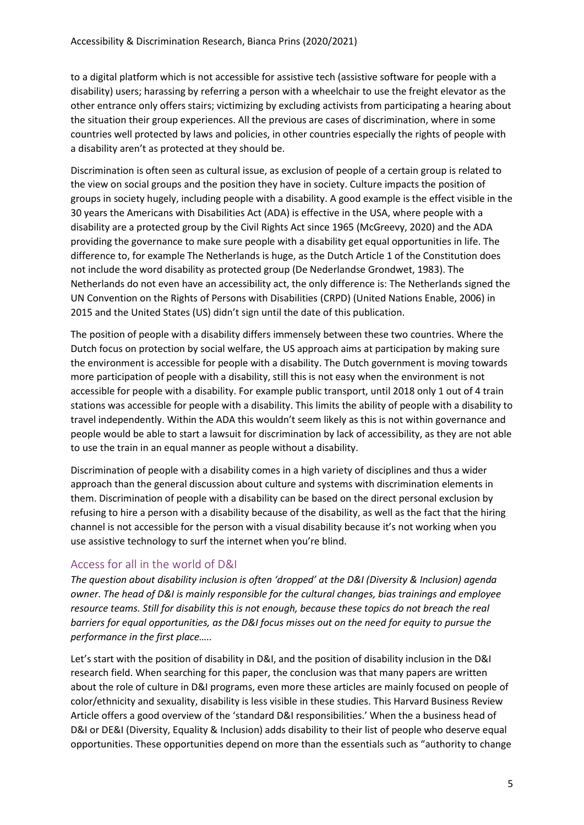to a digital platform which is not accessible for assistive tech (assistive software for people with a disability) users; harassing by referring a person with a wheelchair to use the freight elevator as the other entrance only offers stairs; victimizing by excluding activists from participating a hearing about the situation their group experiences. All the previous are cases of discrimination, where in some countries well protected by laws and policies, in other countries especially the rights of people with a disability aren't as protected at they should be.

Discrimination is often seen as cultural issue, as exclusion of people of a certain group is related to the view on social groups and the position they have in society. Culture impacts the position of groups in society hugely, including people with a disability. A good example is the effect visible in the 30 years the Americans with Disabilities Act (ADA) is effective in the USA, where people with a disability are a protected group by the Civil Rights Act since 1965 (McGreevy, 2020) and the ADA providing the governance to make sure people with a disability get equal opportunities in life. The difference to, for example The Netherlands is huge, as the Dutch Article 1 of the Constitution does not include the word disability as protected group (De Nederlandse Grondwet, 1983). The Netherlands do not even have an accessibility act, the only difference is: The Netherlands signed the UN Convention on the Rights of Persons with Disabilities (CRPD) (United Nations Enable, 2006) in 2015 and the United States (US) didn't sign until the date of this publication.

The position of people with a disability differs immensely between these two countries. Where the Dutch focus on protection by social welfare, the US approach aims at participation by making sure the environment is accessible for people with a disability. The Dutch government is moving towards more participation of people with a disability, still this is not easy when the environment is not accessible for people with a disability. For example public transport, until 2018 only 1 out of 4 train stations was accessible for people with a disability. This limits the ability of people with a disability to travel independently. Within the ADA this wouldn't seem likely as this is not within governance and people would be able to start a lawsuit for discrimination by lack of accessibility, as they are not able to use the train in an equal manner as people without a disability.

Discrimination of people with a disability comes in a high variety of disciplines and thus a wider approach than the general discussion about culture and systems with discrimination elements in them. Discrimination of people with a disability can be based on the direct personal exclusion by refusing to hire a person with a disability because of the disability, as well as the fact that the hiring channel is not accessible for the person with a visual disability because it's not working when you use assistive technology to surf the internet when you're blind.

#### <span id="page-5-0"></span>Access for all in the world of D&I

*The question about disability inclusion is often 'dropped' at the D&I (Diversity & Inclusion) agenda owner. The head of D&I is mainly responsible for the cultural changes, bias trainings and employee resource teams. Still for disability this is not enough, because these topics do not breach the real barriers for equal opportunities, as the D&I focus misses out on the need for equity to pursue the performance in the first place…..*

Let's start with the position of disability in D&I, and the position of disability inclusion in the D&I research field. When searching for this paper, the conclusion was that many papers are written about the role of culture in D&I programs, even more these articles are mainly focused on people of color/ethnicity and sexuality, disability is less visible in these studies. This Harvard Business Review Article offers a good overview of the 'standard D&I responsibilities.' When the a business head of D&I or DE&I (Diversity, Equality & Inclusion) adds disability to their list of people who deserve equal opportunities. These opportunities depend on more than the essentials such as "authority to change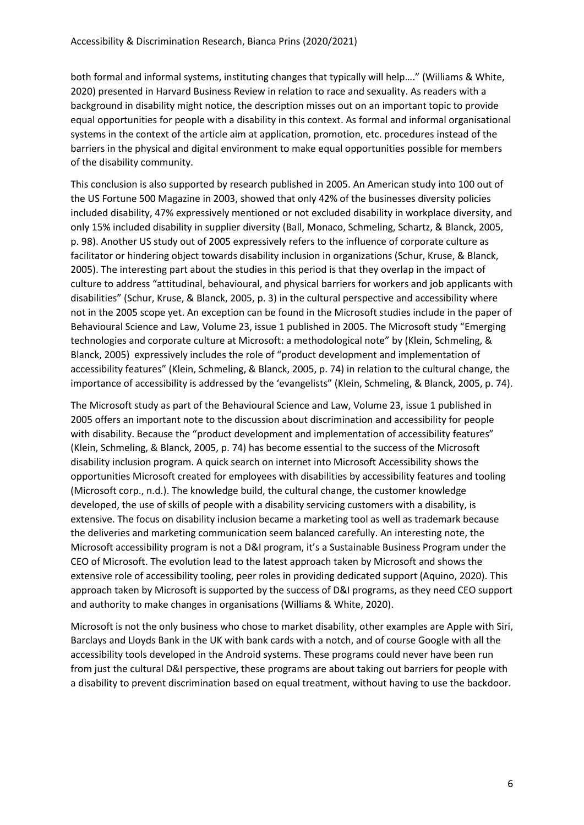both formal and informal systems, instituting changes that typically will help…." (Williams & White, 2020) presented in Harvard Business Review in relation to race and sexuality. As readers with a background in disability might notice, the description misses out on an important topic to provide equal opportunities for people with a disability in this context. As formal and informal organisational systems in the context of the article aim at application, promotion, etc. procedures instead of the barriers in the physical and digital environment to make equal opportunities possible for members of the disability community.

This conclusion is also supported by research published in 2005. An American study into 100 out of the US Fortune 500 Magazine in 2003, showed that only 42% of the businesses diversity policies included disability, 47% expressively mentioned or not excluded disability in workplace diversity, and only 15% included disability in supplier diversity (Ball, Monaco, Schmeling, Schartz, & Blanck, 2005, p. 98). Another US study out of 2005 expressively refers to the influence of corporate culture as facilitator or hindering object towards disability inclusion in organizations (Schur, Kruse, & Blanck, 2005). The interesting part about the studies in this period is that they overlap in the impact of culture to address "attitudinal, behavioural, and physical barriers for workers and job applicants with disabilities" (Schur, Kruse, & Blanck, 2005, p. 3) in the cultural perspective and accessibility where not in the 2005 scope yet. An exception can be found in the Microsoft studies include in the paper of Behavioural Science and Law, Volume 23, issue 1 published in 2005. The Microsoft study "Emerging technologies and corporate culture at Microsoft: a methodological note" by (Klein, Schmeling, & Blanck, 2005) expressively includes the role of "product development and implementation of accessibility features" (Klein, Schmeling, & Blanck, 2005, p. 74) in relation to the cultural change, the importance of accessibility is addressed by the 'evangelists" (Klein, Schmeling, & Blanck, 2005, p. 74).

The Microsoft study as part of the Behavioural Science and Law, Volume 23, issue 1 published in 2005 offers an important note to the discussion about discrimination and accessibility for people with disability. Because the "product development and implementation of accessibility features" (Klein, Schmeling, & Blanck, 2005, p. 74) has become essential to the success of the Microsoft disability inclusion program. A quick search on internet into Microsoft Accessibility shows the opportunities Microsoft created for employees with disabilities by accessibility features and tooling (Microsoft corp., n.d.). The knowledge build, the cultural change, the customer knowledge developed, the use of skills of people with a disability servicing customers with a disability, is extensive. The focus on disability inclusion became a marketing tool as well as trademark because the deliveries and marketing communication seem balanced carefully. An interesting note, the Microsoft accessibility program is not a D&I program, it's a Sustainable Business Program under the CEO of Microsoft. The evolution lead to the latest approach taken by Microsoft and shows the extensive role of accessibility tooling, peer roles in providing dedicated support (Aquino, 2020). This approach taken by Microsoft is supported by the success of D&I programs, as they need CEO support and authority to make changes in organisations (Williams & White, 2020).

Microsoft is not the only business who chose to market disability, other examples are Apple with Siri, Barclays and Lloyds Bank in the UK with bank cards with a notch, and of course Google with all the accessibility tools developed in the Android systems. These programs could never have been run from just the cultural D&I perspective, these programs are about taking out barriers for people with a disability to prevent discrimination based on equal treatment, without having to use the backdoor.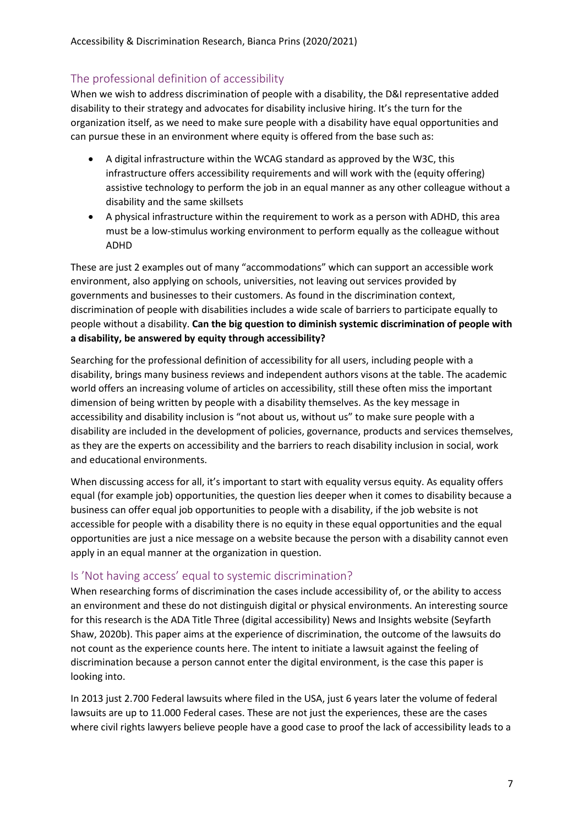#### <span id="page-7-0"></span>The professional definition of accessibility

When we wish to address discrimination of people with a disability, the D&I representative added disability to their strategy and advocates for disability inclusive hiring. It's the turn for the organization itself, as we need to make sure people with a disability have equal opportunities and can pursue these in an environment where equity is offered from the base such as:

- A digital infrastructure within the WCAG standard as approved by the W3C, this infrastructure offers accessibility requirements and will work with the (equity offering) assistive technology to perform the job in an equal manner as any other colleague without a disability and the same skillsets
- A physical infrastructure within the requirement to work as a person with ADHD, this area must be a low-stimulus working environment to perform equally as the colleague without ADHD

These are just 2 examples out of many "accommodations" which can support an accessible work environment, also applying on schools, universities, not leaving out services provided by governments and businesses to their customers. As found in the discrimination context, discrimination of people with disabilities includes a wide scale of barriers to participate equally to people without a disability. **Can the big question to diminish systemic discrimination of people with a disability, be answered by equity through accessibility?**

Searching for the professional definition of accessibility for all users, including people with a disability, brings many business reviews and independent authors visons at the table. The academic world offers an increasing volume of articles on accessibility, still these often miss the important dimension of being written by people with a disability themselves. As the key message in accessibility and disability inclusion is "not about us, without us" to make sure people with a disability are included in the development of policies, governance, products and services themselves, as they are the experts on accessibility and the barriers to reach disability inclusion in social, work and educational environments.

When discussing access for all, it's important to start with equality versus equity. As equality offers equal (for example job) opportunities, the question lies deeper when it comes to disability because a business can offer equal job opportunities to people with a disability, if the job website is not accessible for people with a disability there is no equity in these equal opportunities and the equal opportunities are just a nice message on a website because the person with a disability cannot even apply in an equal manner at the organization in question.

#### <span id="page-7-1"></span>Is 'Not having access' equal to systemic discrimination?

When researching forms of discrimination the cases include accessibility of, or the ability to access an environment and these do not distinguish digital or physical environments. An interesting source for this research is the ADA Title Three (digital accessibility) News and Insights website (Seyfarth Shaw, 2020b). This paper aims at the experience of discrimination, the outcome of the lawsuits do not count as the experience counts here. The intent to initiate a lawsuit against the feeling of discrimination because a person cannot enter the digital environment, is the case this paper is looking into.

In 2013 just 2.700 Federal lawsuits where filed in the USA, just 6 years later the volume of federal lawsuits are up to 11.000 Federal cases. These are not just the experiences, these are the cases where civil rights lawyers believe people have a good case to proof the lack of accessibility leads to a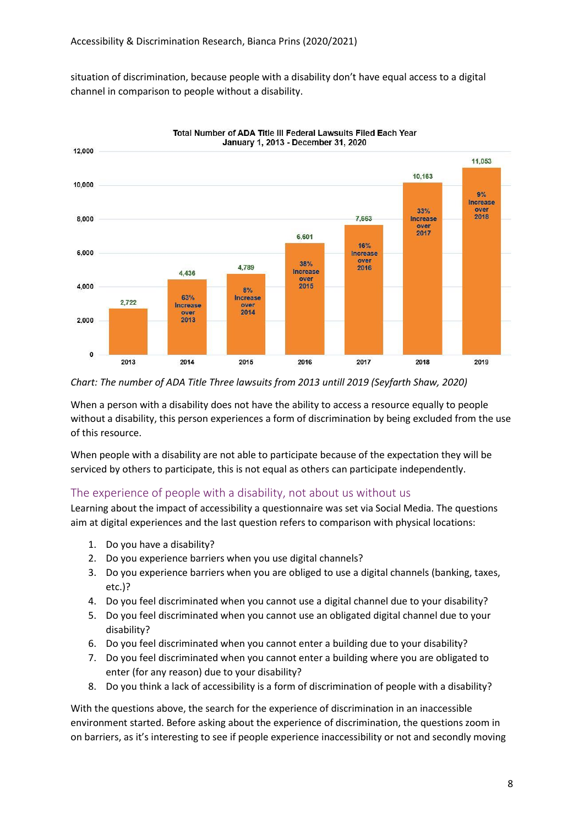situation of discrimination, because people with a disability don't have equal access to a digital channel in comparison to people without a disability.



Total Number of ADA Title III Federal Lawsuits Filed Each Year

#### *Chart: The number of ADA Title Three lawsuits from 2013 untill 2019 (Seyfarth Shaw, 2020)*

When a person with a disability does not have the ability to access a resource equally to people without a disability, this person experiences a form of discrimination by being excluded from the use of this resource.

When people with a disability are not able to participate because of the expectation they will be serviced by others to participate, this is not equal as others can participate independently.

#### <span id="page-8-0"></span>The experience of people with a disability, not about us without us

Learning about the impact of accessibility a questionnaire was set via Social Media. The questions aim at digital experiences and the last question refers to comparison with physical locations:

- 1. Do you have a disability?
- 2. Do you experience barriers when you use digital channels?
- 3. Do you experience barriers when you are obliged to use a digital channels (banking, taxes, etc.)?
- 4. Do you feel discriminated when you cannot use a digital channel due to your disability?
- 5. Do you feel discriminated when you cannot use an obligated digital channel due to your disability?
- 6. Do you feel discriminated when you cannot enter a building due to your disability?
- 7. Do you feel discriminated when you cannot enter a building where you are obligated to enter (for any reason) due to your disability?
- 8. Do you think a lack of accessibility is a form of discrimination of people with a disability?

With the questions above, the search for the experience of discrimination in an inaccessible environment started. Before asking about the experience of discrimination, the questions zoom in on barriers, as it's interesting to see if people experience inaccessibility or not and secondly moving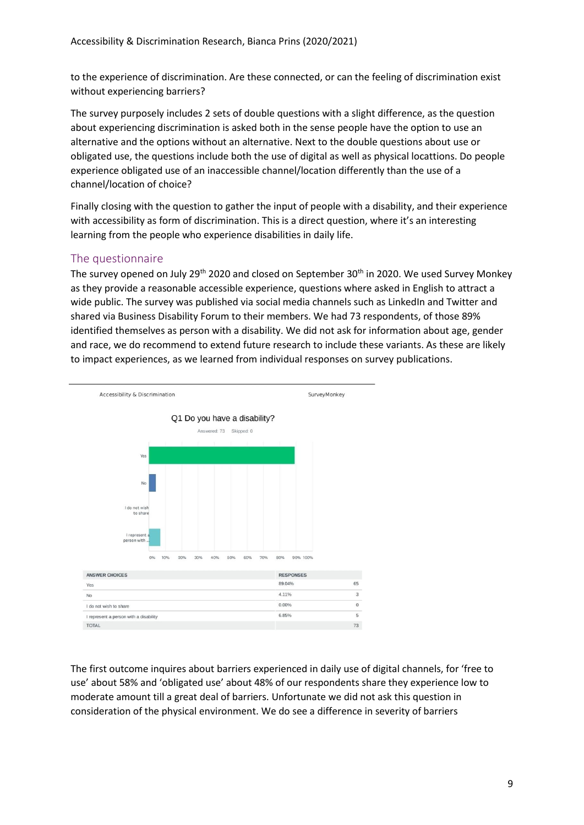to the experience of discrimination. Are these connected, or can the feeling of discrimination exist without experiencing barriers?

The survey purposely includes 2 sets of double questions with a slight difference, as the question about experiencing discrimination is asked both in the sense people have the option to use an alternative and the options without an alternative. Next to the double questions about use or obligated use, the questions include both the use of digital as well as physical locattions. Do people experience obligated use of an inaccessible channel/location differently than the use of a channel/location of choice?

Finally closing with the question to gather the input of people with a disability, and their experience with accessibility as form of discrimination. This is a direct question, where it's an interesting learning from the people who experience disabilities in daily life.

#### <span id="page-9-0"></span>The questionnaire

The survey opened on July 29<sup>th</sup> 2020 and closed on September 30<sup>th</sup> in 2020. We used Survey Monkey as they provide a reasonable accessible experience, questions where asked in English to attract a wide public. The survey was published via social media channels such as LinkedIn and Twitter and shared via Business Disability Forum to their members. We had 73 respondents, of those 89% identified themselves as person with a disability. We did not ask for information about age, gender and race, we do recommend to extend future research to include these variants. As these are likely to impact experiences, as we learned from individual responses on survey publications.



The first outcome inquires about barriers experienced in daily use of digital channels, for 'free to use' about 58% and 'obligated use' about 48% of our respondents share they experience low to moderate amount till a great deal of barriers. Unfortunate we did not ask this question in consideration of the physical environment. We do see a difference in severity of barriers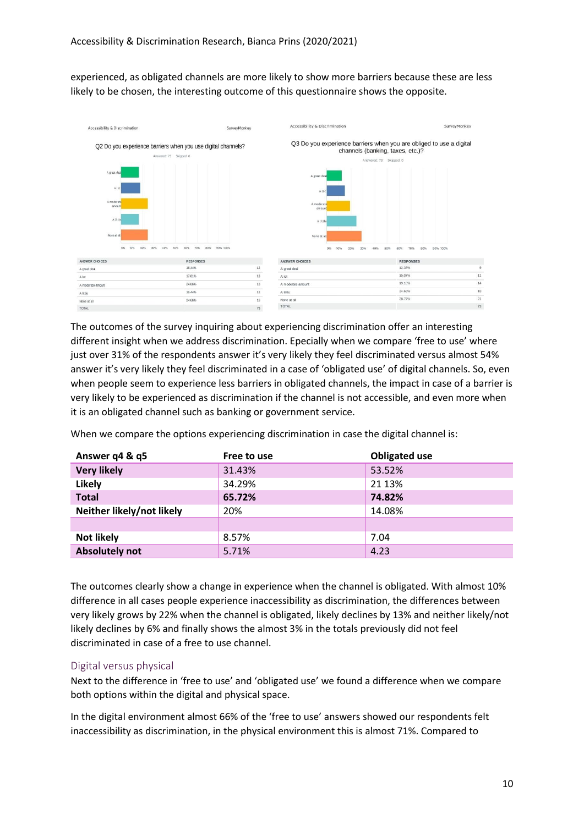experienced, as obligated channels are more likely to show more barriers because these are less likely to be chosen, the interesting outcome of this questionnaire shows the opposite.



The outcomes of the survey inquiring about experiencing discrimination offer an interesting different insight when we address discrimination. Epecially when we compare 'free to use' where just over 31% of the respondents answer it's very likely they feel discriminated versus almost 54% answer it's very likely they feel discriminated in a case of 'obligated use' of digital channels. So, even when people seem to experience less barriers in obligated channels, the impact in case of a barrier is very likely to be experienced as discrimination if the channel is not accessible, and even more when it is an obligated channel such as banking or government service.

When we compare the options experiencing discrimination in case the digital channel is:

| Answer q4 & q5            | Free to use | <b>Obligated use</b> |
|---------------------------|-------------|----------------------|
| <b>Very likely</b>        | 31.43%      | 53.52%               |
| <b>Likely</b>             | 34.29%      | 21 13%               |
| <b>Total</b>              | 65.72%      | 74.82%               |
| Neither likely/not likely | 20%         | 14.08%               |
|                           |             |                      |
| <b>Not likely</b>         | 8.57%       | 7.04                 |
| <b>Absolutely not</b>     | 5.71%       | 4.23                 |

The outcomes clearly show a change in experience when the channel is obligated. With almost 10% difference in all cases people experience inaccessibility as discrimination, the differences between very likely grows by 22% when the channel is obligated, likely declines by 13% and neither likely/not likely declines by 6% and finally shows the almost 3% in the totals previously did not feel discriminated in case of a free to use channel.

#### <span id="page-10-0"></span>Digital versus physical

Next to the difference in 'free to use' and 'obligated use' we found a difference when we compare both options within the digital and physical space.

In the digital environment almost 66% of the 'free to use' answers showed our respondents felt inaccessibility as discrimination, in the physical environment this is almost 71%. Compared to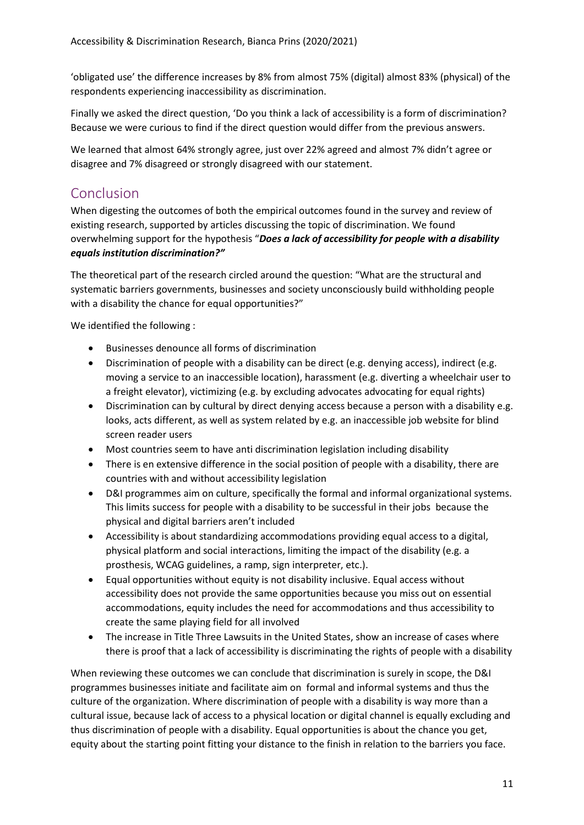'obligated use' the difference increases by 8% from almost 75% (digital) almost 83% (physical) of the respondents experiencing inaccessibility as discrimination.

Finally we asked the direct question, 'Do you think a lack of accessibility is a form of discrimination? Because we were curious to find if the direct question would differ from the previous answers.

We learned that almost 64% strongly agree, just over 22% agreed and almost 7% didn't agree or disagree and 7% disagreed or strongly disagreed with our statement.

# <span id="page-11-0"></span>Conclusion

When digesting the outcomes of both the empirical outcomes found in the survey and review of existing research, supported by articles discussing the topic of discrimination. We found overwhelming support for the hypothesis "*Does a lack of accessibility for people with a disability equals institution discrimination?"*

The theoretical part of the research circled around the question: "What are the structural and systematic barriers governments, businesses and society unconsciously build withholding people with a disability the chance for equal opportunities?"

We identified the following :

- Businesses denounce all forms of discrimination
- Discrimination of people with a disability can be direct (e.g. denying access), indirect (e.g. moving a service to an inaccessible location), harassment (e.g. diverting a wheelchair user to a freight elevator), victimizing (e.g. by excluding advocates advocating for equal rights)
- Discrimination can by cultural by direct denying access because a person with a disability e.g. looks, acts different, as well as system related by e.g. an inaccessible job website for blind screen reader users
- Most countries seem to have anti discrimination legislation including disability
- There is en extensive difference in the social position of people with a disability, there are countries with and without accessibility legislation
- D&I programmes aim on culture, specifically the formal and informal organizational systems. This limits success for people with a disability to be successful in their jobs because the physical and digital barriers aren't included
- Accessibility is about standardizing accommodations providing equal access to a digital, physical platform and social interactions, limiting the impact of the disability (e.g. a prosthesis, WCAG guidelines, a ramp, sign interpreter, etc.).
- Equal opportunities without equity is not disability inclusive. Equal access without accessibility does not provide the same opportunities because you miss out on essential accommodations, equity includes the need for accommodations and thus accessibility to create the same playing field for all involved
- The increase in Title Three Lawsuits in the United States, show an increase of cases where there is proof that a lack of accessibility is discriminating the rights of people with a disability

When reviewing these outcomes we can conclude that discrimination is surely in scope, the D&I programmes businesses initiate and facilitate aim on formal and informal systems and thus the culture of the organization. Where discrimination of people with a disability is way more than a cultural issue, because lack of access to a physical location or digital channel is equally excluding and thus discrimination of people with a disability. Equal opportunities is about the chance you get, equity about the starting point fitting your distance to the finish in relation to the barriers you face.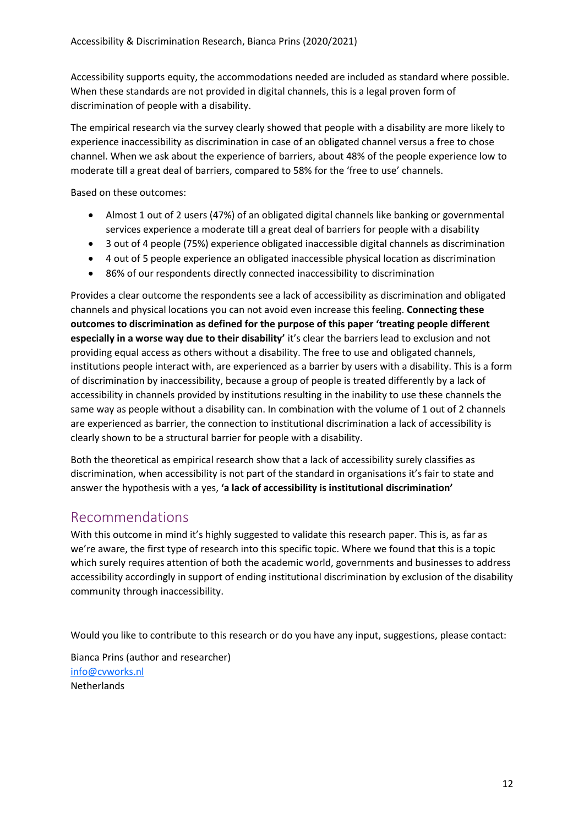Accessibility supports equity, the accommodations needed are included as standard where possible. When these standards are not provided in digital channels, this is a legal proven form of discrimination of people with a disability.

The empirical research via the survey clearly showed that people with a disability are more likely to experience inaccessibility as discrimination in case of an obligated channel versus a free to chose channel. When we ask about the experience of barriers, about 48% of the people experience low to moderate till a great deal of barriers, compared to 58% for the 'free to use' channels.

Based on these outcomes:

- Almost 1 out of 2 users (47%) of an obligated digital channels like banking or governmental services experience a moderate till a great deal of barriers for people with a disability
- 3 out of 4 people (75%) experience obligated inaccessible digital channels as discrimination
- 4 out of 5 people experience an obligated inaccessible physical location as discrimination
- 86% of our respondents directly connected inaccessibility to discrimination

Provides a clear outcome the respondents see a lack of accessibility as discrimination and obligated channels and physical locations you can not avoid even increase this feeling. **Connecting these outcomes to discrimination as defined for the purpose of this paper 'treating people different especially in a worse way due to their disability'** it's clear the barriers lead to exclusion and not providing equal access as others without a disability. The free to use and obligated channels, institutions people interact with, are experienced as a barrier by users with a disability. This is a form of discrimination by inaccessibility, because a group of people is treated differently by a lack of accessibility in channels provided by institutions resulting in the inability to use these channels the same way as people without a disability can. In combination with the volume of 1 out of 2 channels are experienced as barrier, the connection to institutional discrimination a lack of accessibility is clearly shown to be a structural barrier for people with a disability.

Both the theoretical as empirical research show that a lack of accessibility surely classifies as discrimination, when accessibility is not part of the standard in organisations it's fair to state and answer the hypothesis with a yes, **'a lack of accessibility is institutional discrimination'**

### <span id="page-12-0"></span>Recommendations

With this outcome in mind it's highly suggested to validate this research paper. This is, as far as we're aware, the first type of research into this specific topic. Where we found that this is a topic which surely requires attention of both the academic world, governments and businesses to address accessibility accordingly in support of ending institutional discrimination by exclusion of the disability community through inaccessibility.

Would you like to contribute to this research or do you have any input, suggestions, please contact:

Bianca Prins (author and researcher) [info@cvworks.nl](mailto:info@cvworks.nl) **Netherlands**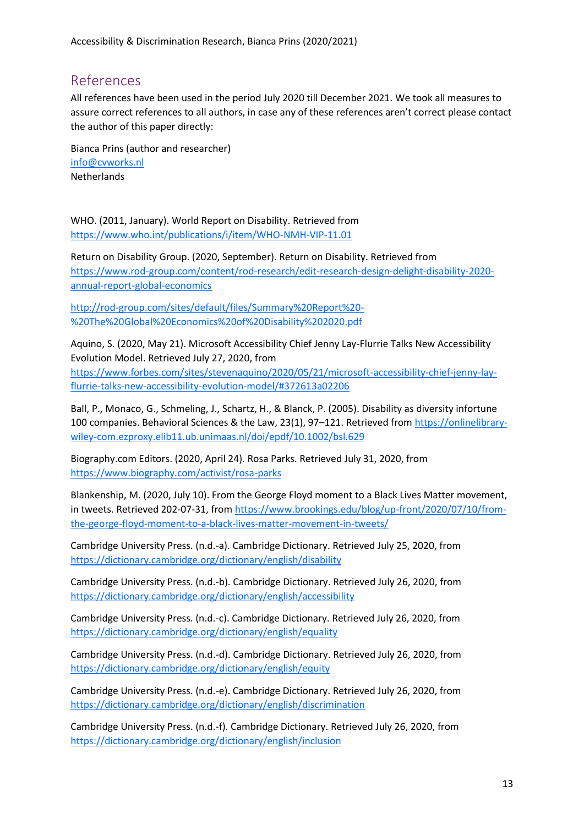# <span id="page-13-0"></span>References

All references have been used in the period July 2020 till December 2021. We took all measures to assure correct references to all authors, in case any of these references aren't correct please contact the author of this paper directly:

Bianca Prins (author and researcher) [info@cvworks.nl](mailto:info@cvworks.nl) Netherlands

WHO. (2011, January). World Report on Disability. Retrieved from <https://www.who.int/publications/i/item/WHO-NMH-VIP-11.01>

Return on Disability Group. (2020, September). Return on Disability. Retrieved from [https://www.rod-group.com/content/rod-research/edit-research-design-delight-disability-2020](https://www.rod-group.com/content/rod-research/edit-research-design-delight-disability-2020-annual-report-global-economics) [annual-report-global-economics](https://www.rod-group.com/content/rod-research/edit-research-design-delight-disability-2020-annual-report-global-economics)

[http://rod-group.com/sites/default/files/Summary%20Report%20-](http://rod-group.com/sites/default/files/Summary%20Report%20-%20The%20Global%20Economics%20of%20Disability%202020.pdf) [%20The%20Global%20Economics%20of%20Disability%202020.pdf](http://rod-group.com/sites/default/files/Summary%20Report%20-%20The%20Global%20Economics%20of%20Disability%202020.pdf)

Aquino, S. (2020, May 21). Microsoft Accessibility Chief Jenny Lay-Flurrie Talks New Accessibility Evolution Model. Retrieved July 27, 2020, from [https://www.forbes.com/sites/stevenaquino/2020/05/21/microsoft-accessibility-chief-jenny-lay](https://www.forbes.com/sites/stevenaquino/2020/05/21/microsoft-accessibility-chief-jenny-lay-flurrie-talks-new-accessibility-evolution-model/#372613a02206)[flurrie-talks-new-accessibility-evolution-model/#372613a02206](https://www.forbes.com/sites/stevenaquino/2020/05/21/microsoft-accessibility-chief-jenny-lay-flurrie-talks-new-accessibility-evolution-model/#372613a02206)

Ball, P., Monaco, G., Schmeling, J., Schartz, H., & Blanck, P. (2005). Disability as diversity infortune 100 companies. Behavioral Sciences & the Law, 23(1), 97–121. Retrieved fro[m https://onlinelibrary](https://onlinelibrary-wiley-com.ezproxy.elib11.ub.unimaas.nl/doi/epdf/10.1002/bsl.629)[wiley-com.ezproxy.elib11.ub.unimaas.nl/doi/epdf/10.1002/bsl.629](https://onlinelibrary-wiley-com.ezproxy.elib11.ub.unimaas.nl/doi/epdf/10.1002/bsl.629)

Biography.com Editors. (2020, April 24). Rosa Parks. Retrieved July 31, 2020, from <https://www.biography.com/activist/rosa-parks>

Blankenship, M. (2020, July 10). From the George Floyd moment to a Black Lives Matter movement, in tweets. Retrieved 202-07-31, fro[m https://www.brookings.edu/blog/up-front/2020/07/10/from](https://www.brookings.edu/blog/up-front/2020/07/10/from-the-george-floyd-moment-to-a-black-lives-matter-movement-in-tweets/)[the-george-floyd-moment-to-a-black-lives-matter-movement-in-tweets/](https://www.brookings.edu/blog/up-front/2020/07/10/from-the-george-floyd-moment-to-a-black-lives-matter-movement-in-tweets/)

Cambridge University Press. (n.d.-a). Cambridge Dictionary. Retrieved July 25, 2020, from <https://dictionary.cambridge.org/dictionary/english/disability>

Cambridge University Press. (n.d.-b). Cambridge Dictionary. Retrieved July 26, 2020, from <https://dictionary.cambridge.org/dictionary/english/accessibility>

Cambridge University Press. (n.d.-c). Cambridge Dictionary. Retrieved July 26, 2020, from <https://dictionary.cambridge.org/dictionary/english/equality>

Cambridge University Press. (n.d.-d). Cambridge Dictionary. Retrieved July 26, 2020, from <https://dictionary.cambridge.org/dictionary/english/equity>

Cambridge University Press. (n.d.-e). Cambridge Dictionary. Retrieved July 26, 2020, from <https://dictionary.cambridge.org/dictionary/english/discrimination>

Cambridge University Press. (n.d.-f). Cambridge Dictionary. Retrieved July 26, 2020, from <https://dictionary.cambridge.org/dictionary/english/inclusion>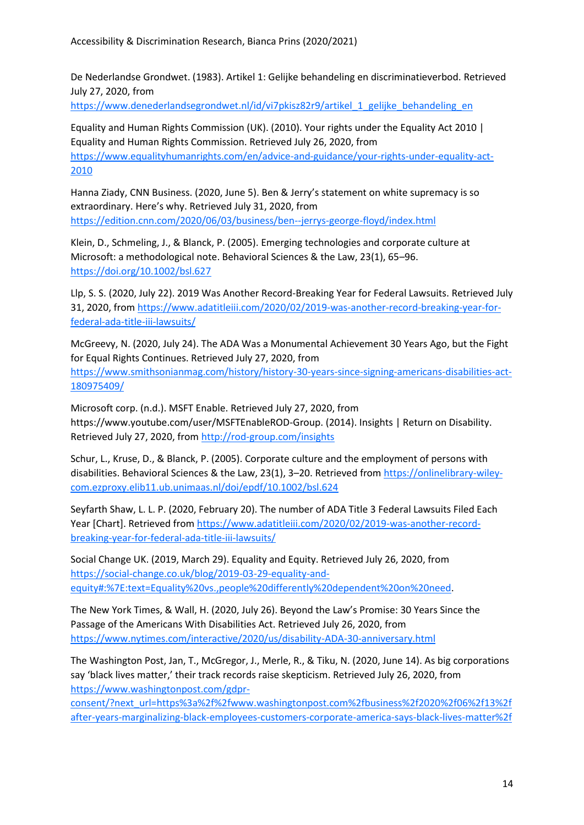De Nederlandse Grondwet. (1983). Artikel 1: Gelijke behandeling en discriminatieverbod. Retrieved July 27, 2020, from

[https://www.denederlandsegrondwet.nl/id/vi7pkisz82r9/artikel\\_1\\_gelijke\\_behandeling\\_en](https://www.denederlandsegrondwet.nl/id/vi7pkisz82r9/artikel_1_gelijke_behandeling_en)

Equality and Human Rights Commission (UK). (2010). Your rights under the Equality Act 2010 | Equality and Human Rights Commission. Retrieved July 26, 2020, from [https://www.equalityhumanrights.com/en/advice-and-guidance/your-rights-under-equality-act-](https://www.equalityhumanrights.com/en/advice-and-guidance/your-rights-under-equality-act-2010)[2010](https://www.equalityhumanrights.com/en/advice-and-guidance/your-rights-under-equality-act-2010)

Hanna Ziady, CNN Business. (2020, June 5). Ben & Jerry's statement on white supremacy is so extraordinary. Here's why. Retrieved July 31, 2020, from <https://edition.cnn.com/2020/06/03/business/ben--jerrys-george-floyd/index.html>

Klein, D., Schmeling, J., & Blanck, P. (2005). Emerging technologies and corporate culture at Microsoft: a methodological note. Behavioral Sciences & the Law, 23(1), 65–96. <https://doi.org/10.1002/bsl.627>

Llp, S. S. (2020, July 22). 2019 Was Another Record-Breaking Year for Federal Lawsuits. Retrieved July 31, 2020, from [https://www.adatitleiii.com/2020/02/2019-was-another-record-breaking-year-for](https://www.adatitleiii.com/2020/02/2019-was-another-record-breaking-year-for-federal-ada-title-iii-lawsuits/)[federal-ada-title-iii-lawsuits/](https://www.adatitleiii.com/2020/02/2019-was-another-record-breaking-year-for-federal-ada-title-iii-lawsuits/)

McGreevy, N. (2020, July 24). The ADA Was a Monumental Achievement 30 Years Ago, but the Fight for Equal Rights Continues. Retrieved July 27, 2020, from [https://www.smithsonianmag.com/history/history-30-years-since-signing-americans-disabilities-act-](https://www.smithsonianmag.com/history/history-30-years-since-signing-americans-disabilities-act-180975409/)[180975409/](https://www.smithsonianmag.com/history/history-30-years-since-signing-americans-disabilities-act-180975409/)

Microsoft corp. (n.d.). MSFT Enable. Retrieved July 27, 2020, from https://www.youtube.com/user/MSFTEnableROD-Group. (2014). Insights | Return on Disability. Retrieved July 27, 2020, from<http://rod-group.com/insights>

Schur, L., Kruse, D., & Blanck, P. (2005). Corporate culture and the employment of persons with disabilities. Behavioral Sciences & the Law, 23(1), 3-20. Retrieved from [https://onlinelibrary-wiley](https://onlinelibrary-wiley-com.ezproxy.elib11.ub.unimaas.nl/doi/epdf/10.1002/bsl.624)[com.ezproxy.elib11.ub.unimaas.nl/doi/epdf/10.1002/bsl.624](https://onlinelibrary-wiley-com.ezproxy.elib11.ub.unimaas.nl/doi/epdf/10.1002/bsl.624)

Seyfarth Shaw, L. L. P. (2020, February 20). The number of ADA Title 3 Federal Lawsuits Filed Each Year [Chart]. Retrieved from [https://www.adatitleiii.com/2020/02/2019-was-another-record](https://www.adatitleiii.com/2020/02/2019-was-another-record-breaking-year-for-federal-ada-title-iii-lawsuits/)[breaking-year-for-federal-ada-title-iii-lawsuits/](https://www.adatitleiii.com/2020/02/2019-was-another-record-breaking-year-for-federal-ada-title-iii-lawsuits/)

Social Change UK. (2019, March 29). Equality and Equity. Retrieved July 26, 2020, from [https://social-change.co.uk/blog/2019-03-29-equality-and](https://social-change.co.uk/blog/2019-03-29-equality-and-equity#:%7E:text=Equality%20vs.,people%20differently%20dependent%20on%20need)[equity#:%7E:text=Equality%20vs.,people%20differently%20dependent%20on%20need.](https://social-change.co.uk/blog/2019-03-29-equality-and-equity#:%7E:text=Equality%20vs.,people%20differently%20dependent%20on%20need)

The New York Times, & Wall, H. (2020, July 26). Beyond the Law's Promise: 30 Years Since the Passage of the Americans With Disabilities Act. Retrieved July 26, 2020, from <https://www.nytimes.com/interactive/2020/us/disability-ADA-30-anniversary.html>

The Washington Post, Jan, T., McGregor, J., Merle, R., & Tiku, N. (2020, June 14). As big corporations say 'black lives matter,' their track records raise skepticism. Retrieved July 26, 2020, from [https://www.washingtonpost.com/gdpr-](https://www.washingtonpost.com/gdpr-consent/?next_url=https%3a%2f%2fwww.washingtonpost.com%2fbusiness%2f2020%2f06%2f13%2fafter-years-marginalizing-black-employees-customers-corporate-america-says-black-lives-matter%2f)

[consent/?next\\_url=https%3a%2f%2fwww.washingtonpost.com%2fbusiness%2f2020%2f06%2f13%2f](https://www.washingtonpost.com/gdpr-consent/?next_url=https%3a%2f%2fwww.washingtonpost.com%2fbusiness%2f2020%2f06%2f13%2fafter-years-marginalizing-black-employees-customers-corporate-america-says-black-lives-matter%2f) [after-years-marginalizing-black-employees-customers-corporate-america-says-black-lives-matter%2f](https://www.washingtonpost.com/gdpr-consent/?next_url=https%3a%2f%2fwww.washingtonpost.com%2fbusiness%2f2020%2f06%2f13%2fafter-years-marginalizing-black-employees-customers-corporate-america-says-black-lives-matter%2f)